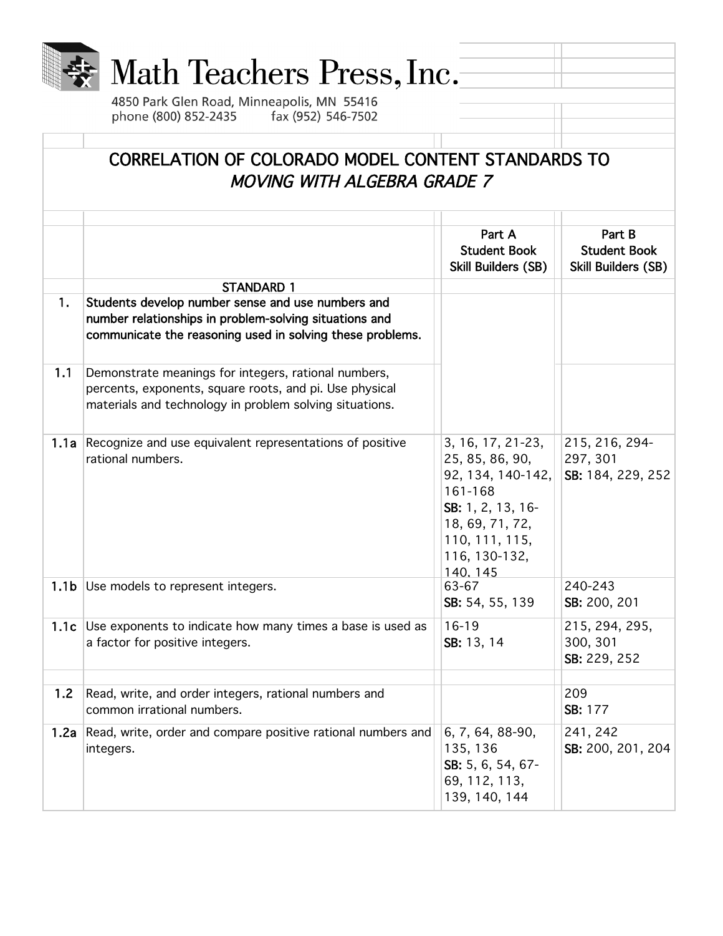

## Math Teachers Press, Inc.

4850 Park Glen Road, Minneapolis, MN 55416<br>phone (800) 852-2435 fax (952) 546-7502

| CORRELATION OF COLORADO MODEL CONTENT STANDARDS TO<br><b>MOVING WITH ALGEBRA GRADE 7</b> |                                                                                                                                                                            |                                                                                                                                                             |                                                      |  |
|------------------------------------------------------------------------------------------|----------------------------------------------------------------------------------------------------------------------------------------------------------------------------|-------------------------------------------------------------------------------------------------------------------------------------------------------------|------------------------------------------------------|--|
|                                                                                          |                                                                                                                                                                            |                                                                                                                                                             |                                                      |  |
|                                                                                          |                                                                                                                                                                            | Part A<br><b>Student Book</b><br>Skill Builders (SB)                                                                                                        | Part B<br><b>Student Book</b><br>Skill Builders (SB) |  |
|                                                                                          | <b>STANDARD 1</b>                                                                                                                                                          |                                                                                                                                                             |                                                      |  |
| 1.                                                                                       | Students develop number sense and use numbers and<br>number relationships in problem-solving situations and<br>communicate the reasoning used in solving these problems.   |                                                                                                                                                             |                                                      |  |
| 1.1                                                                                      | Demonstrate meanings for integers, rational numbers,<br>percents, exponents, square roots, and pi. Use physical<br>materials and technology in problem solving situations. |                                                                                                                                                             |                                                      |  |
|                                                                                          | 1.1a Recognize and use equivalent representations of positive<br>rational numbers.                                                                                         | 3, 16, 17, 21-23,<br>25, 85, 86, 90,<br>92, 134, 140-142,<br>161-168<br>SB: 1, 2, 13, 16-<br>18, 69, 71, 72,<br>110, 111, 115,<br>116, 130-132,<br>140, 145 | 215, 216, 294-<br>297, 301<br>SB: 184, 229, 252      |  |
| 1.1 <sub>b</sub>                                                                         | Use models to represent integers.                                                                                                                                          | 63-67<br>SB: 54, 55, 139                                                                                                                                    | 240-243<br>SB: 200, 201                              |  |
|                                                                                          | 1.1c Use exponents to indicate how many times a base is used as<br>a factor for positive integers.                                                                         | $16 - 19$<br>SB: 13, 14                                                                                                                                     | 215, 294, 295,<br>300, 301<br>SB: 229, 252           |  |
|                                                                                          |                                                                                                                                                                            |                                                                                                                                                             |                                                      |  |
| 1.2                                                                                      | Read, write, and order integers, rational numbers and<br>common irrational numbers.                                                                                        |                                                                                                                                                             | 209<br>SB: 177                                       |  |
| 1.2a                                                                                     | Read, write, order and compare positive rational numbers and<br>integers.                                                                                                  | 6, 7, 64, 88-90,<br>135, 136<br>SB: 5, 6, 54, 67-<br>69, 112, 113,<br>139, 140, 144                                                                         | 241, 242<br>SB: 200, 201, 204                        |  |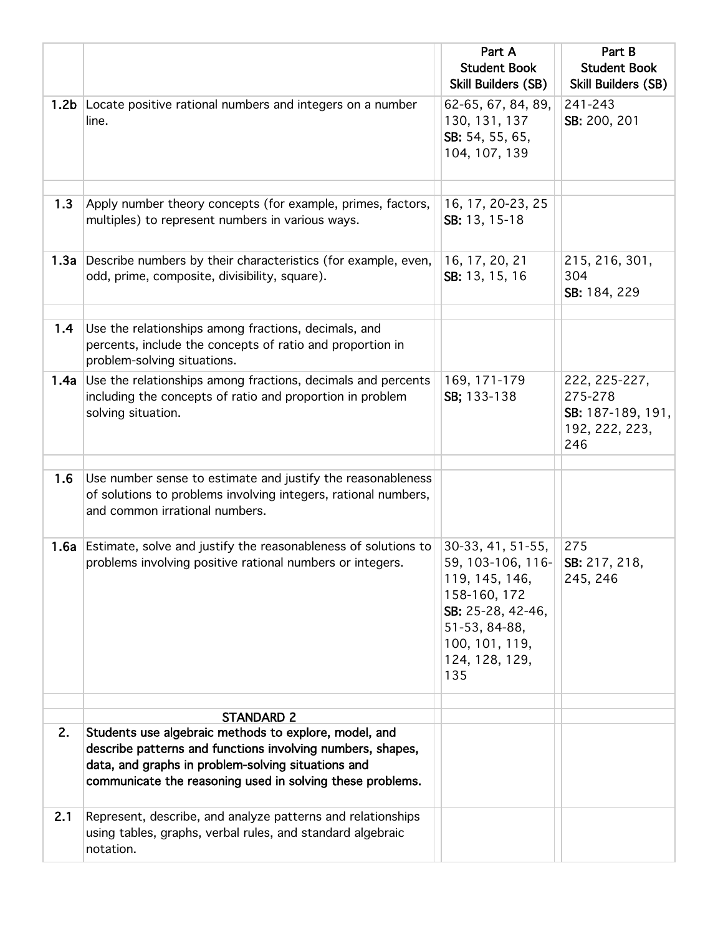|      |                                                                                                                                                                                                                                        | Part A<br><b>Student Book</b>                                                                                                                             | Part B<br><b>Student Book</b>                                          |
|------|----------------------------------------------------------------------------------------------------------------------------------------------------------------------------------------------------------------------------------------|-----------------------------------------------------------------------------------------------------------------------------------------------------------|------------------------------------------------------------------------|
|      |                                                                                                                                                                                                                                        | <b>Skill Builders (SB)</b>                                                                                                                                | <b>Skill Builders (SB)</b>                                             |
|      | 1.2b Locate positive rational numbers and integers on a number<br>line.                                                                                                                                                                | 62-65, 67, 84, 89,<br>130, 131, 137<br>SB: 54, 55, 65,<br>104, 107, 139                                                                                   | 241-243<br>SB: 200, 201                                                |
| 1.3  | Apply number theory concepts (for example, primes, factors,<br>multiples) to represent numbers in various ways.                                                                                                                        | 16, 17, 20-23, 25<br>SB: 13, 15-18                                                                                                                        |                                                                        |
|      | 1.3a Describe numbers by their characteristics (for example, even,<br>odd, prime, composite, divisibility, square).                                                                                                                    | 16, 17, 20, 21<br>SB: 13, 15, 16                                                                                                                          | 215, 216, 301,<br>304<br>SB: 184, 229                                  |
| 1.4  | Use the relationships among fractions, decimals, and<br>percents, include the concepts of ratio and proportion in<br>problem-solving situations.                                                                                       |                                                                                                                                                           |                                                                        |
| 1.4a | Use the relationships among fractions, decimals and percents<br>including the concepts of ratio and proportion in problem<br>solving situation.                                                                                        | 169, 171-179<br>SB; 133-138                                                                                                                               | 222, 225-227,<br>275-278<br>SB: 187-189, 191,<br>192, 222, 223,<br>246 |
| 1.6  | Use number sense to estimate and justify the reasonableness<br>of solutions to problems involving integers, rational numbers,<br>and common irrational numbers.                                                                        |                                                                                                                                                           |                                                                        |
|      | 1.6a Estimate, solve and justify the reasonableness of solutions to<br>problems involving positive rational numbers or integers.                                                                                                       | 30-33, 41, 51-55,<br>59, 103-106, 116-<br>119, 145, 146,<br>158-160, 172<br>SB: 25-28, 42-46,<br>51-53, 84-88,<br>100, 101, 119,<br>124, 128, 129,<br>135 | 275<br>SB: 217, 218,<br>245, 246                                       |
|      | <b>STANDARD 2</b>                                                                                                                                                                                                                      |                                                                                                                                                           |                                                                        |
| 2.   | Students use algebraic methods to explore, model, and<br>describe patterns and functions involving numbers, shapes,<br>data, and graphs in problem-solving situations and<br>communicate the reasoning used in solving these problems. |                                                                                                                                                           |                                                                        |
| 2.1  | Represent, describe, and analyze patterns and relationships<br>using tables, graphs, verbal rules, and standard algebraic<br>notation.                                                                                                 |                                                                                                                                                           |                                                                        |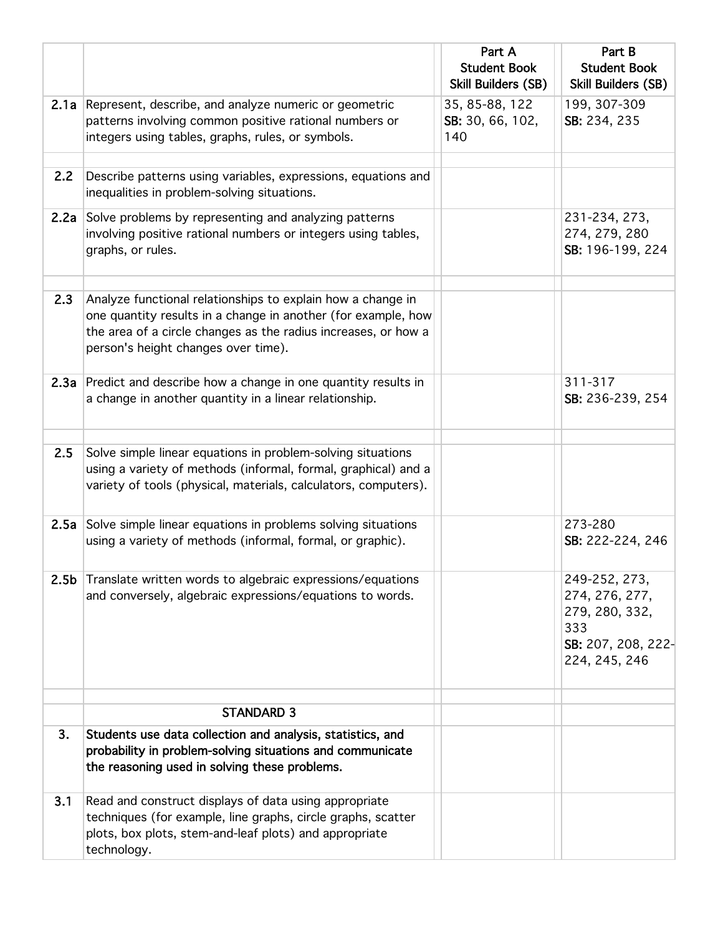|     |                                                                                                                                                                                                                                       | Part A<br><b>Student Book</b><br>Skill Builders (SB) | Part B<br><b>Student Book</b><br><b>Skill Builders (SB)</b>                                     |
|-----|---------------------------------------------------------------------------------------------------------------------------------------------------------------------------------------------------------------------------------------|------------------------------------------------------|-------------------------------------------------------------------------------------------------|
|     | 2.1a Represent, describe, and analyze numeric or geometric<br>patterns involving common positive rational numbers or<br>integers using tables, graphs, rules, or symbols.                                                             | 35, 85-88, 122<br>SB: 30, 66, 102,<br>140            | 199, 307-309<br>SB: 234, 235                                                                    |
| 2.2 | Describe patterns using variables, expressions, equations and<br>inequalities in problem-solving situations.                                                                                                                          |                                                      |                                                                                                 |
|     | 2.2a Solve problems by representing and analyzing patterns<br>involving positive rational numbers or integers using tables,<br>graphs, or rules.                                                                                      |                                                      | 231-234, 273,<br>274, 279, 280<br>SB: 196-199, 224                                              |
| 2.3 | Analyze functional relationships to explain how a change in<br>one quantity results in a change in another (for example, how<br>the area of a circle changes as the radius increases, or how a<br>person's height changes over time). |                                                      |                                                                                                 |
|     | 2.3a Predict and describe how a change in one quantity results in<br>a change in another quantity in a linear relationship.                                                                                                           |                                                      | 311-317<br>SB: 236-239, 254                                                                     |
| 2.5 | Solve simple linear equations in problem-solving situations<br>using a variety of methods (informal, formal, graphical) and a<br>variety of tools (physical, materials, calculators, computers).                                      |                                                      |                                                                                                 |
|     | 2.5a Solve simple linear equations in problems solving situations<br>using a variety of methods (informal, formal, or graphic).                                                                                                       |                                                      | 273-280<br>SB: 222-224, 246                                                                     |
|     | 2.5b Translate written words to algebraic expressions/equations<br>and conversely, algebraic expressions/equations to words.                                                                                                          |                                                      | 249-252, 273,<br>274, 276, 277,<br>279, 280, 332,<br>333<br>SB: 207, 208, 222-<br>224, 245, 246 |
|     | <b>STANDARD 3</b>                                                                                                                                                                                                                     |                                                      |                                                                                                 |
| 3.  | Students use data collection and analysis, statistics, and<br>probability in problem-solving situations and communicate<br>the reasoning used in solving these problems.                                                              |                                                      |                                                                                                 |
| 3.1 | Read and construct displays of data using appropriate<br>techniques (for example, line graphs, circle graphs, scatter<br>plots, box plots, stem-and-leaf plots) and appropriate<br>technology.                                        |                                                      |                                                                                                 |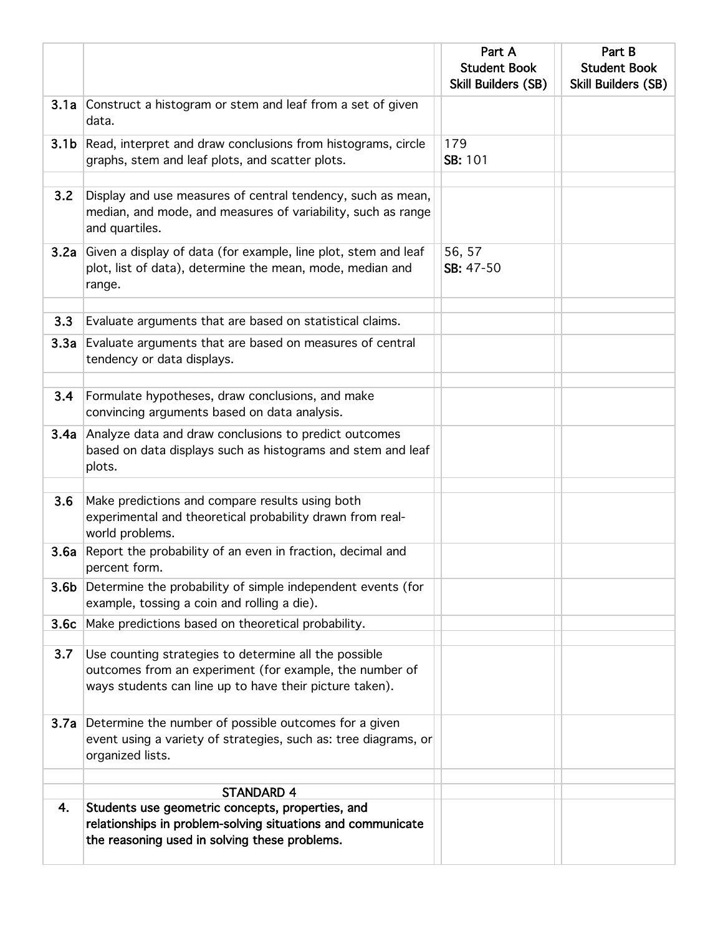|      |                                                                                                                                                                  | Part A                                            | Part B                                            |
|------|------------------------------------------------------------------------------------------------------------------------------------------------------------------|---------------------------------------------------|---------------------------------------------------|
|      |                                                                                                                                                                  | <b>Student Book</b><br><b>Skill Builders (SB)</b> | <b>Student Book</b><br><b>Skill Builders (SB)</b> |
|      | 3.1a Construct a histogram or stem and leaf from a set of given<br>data.                                                                                         |                                                   |                                                   |
|      | <b>3.1b</b> Read, interpret and draw conclusions from histograms, circle<br>graphs, stem and leaf plots, and scatter plots.                                      | 179<br>SB: 101                                    |                                                   |
| 3.2  | Display and use measures of central tendency, such as mean,<br>median, and mode, and measures of variability, such as range<br>and quartiles.                    |                                                   |                                                   |
|      | <b>3.2a</b> Given a display of data (for example, line plot, stem and leaf<br>plot, list of data), determine the mean, mode, median and<br>range.                | 56, 57<br>SB: 47-50                               |                                                   |
| 3.3  | Evaluate arguments that are based on statistical claims.                                                                                                         |                                                   |                                                   |
|      | 3.3a Evaluate arguments that are based on measures of central<br>tendency or data displays.                                                                      |                                                   |                                                   |
| 3.4  | Formulate hypotheses, draw conclusions, and make                                                                                                                 |                                                   |                                                   |
|      | convincing arguments based on data analysis.                                                                                                                     |                                                   |                                                   |
| 3.4a | Analyze data and draw conclusions to predict outcomes<br>based on data displays such as histograms and stem and leaf<br>plots.                                   |                                                   |                                                   |
| 3.6  | Make predictions and compare results using both                                                                                                                  |                                                   |                                                   |
|      | experimental and theoretical probability drawn from real-<br>world problems.                                                                                     |                                                   |                                                   |
|      | 3.6a Report the probability of an even in fraction, decimal and<br>percent form.                                                                                 |                                                   |                                                   |
|      | <b>3.6b</b> Determine the probability of simple independent events (for<br>example, tossing a coin and rolling a die).                                           |                                                   |                                                   |
|      | <b>3.6c</b> Make predictions based on theoretical probability.                                                                                                   |                                                   |                                                   |
| 3.7  | Use counting strategies to determine all the possible                                                                                                            |                                                   |                                                   |
|      | outcomes from an experiment (for example, the number of<br>ways students can line up to have their picture taken).                                               |                                                   |                                                   |
|      | <b>3.7a</b> Determine the number of possible outcomes for a given<br>event using a variety of strategies, such as: tree diagrams, or<br>organized lists.         |                                                   |                                                   |
|      | <b>STANDARD 4</b>                                                                                                                                                |                                                   |                                                   |
| 4.   | Students use geometric concepts, properties, and<br>relationships in problem-solving situations and communicate<br>the reasoning used in solving these problems. |                                                   |                                                   |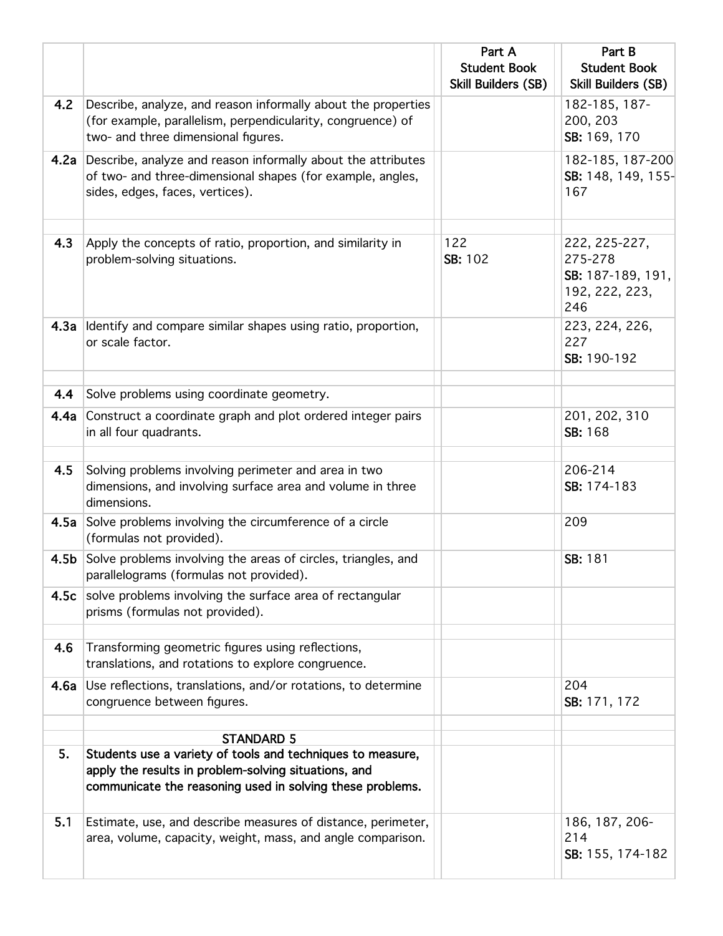|                  |                                                                                                                                                                                 | Part A<br><b>Student Book</b><br><b>Skill Builders (SB)</b> | Part B<br><b>Student Book</b><br><b>Skill Builders (SB)</b>            |
|------------------|---------------------------------------------------------------------------------------------------------------------------------------------------------------------------------|-------------------------------------------------------------|------------------------------------------------------------------------|
| 4.2              | Describe, analyze, and reason informally about the properties<br>(for example, parallelism, perpendicularity, congruence) of<br>two- and three dimensional figures.             |                                                             | 182-185, 187-<br>200, 203<br>SB: 169, 170                              |
|                  | 4.2a Describe, analyze and reason informally about the attributes<br>of two- and three-dimensional shapes (for example, angles,<br>sides, edges, faces, vertices).              |                                                             | 182-185, 187-200<br>SB: 148, 149, 155-<br>167                          |
| 4.3              | Apply the concepts of ratio, proportion, and similarity in<br>problem-solving situations.                                                                                       | 122<br>SB: 102                                              | 222, 225-227,<br>275-278<br>SB: 187-189, 191,<br>192, 222, 223,<br>246 |
|                  | 4.3a Identify and compare similar shapes using ratio, proportion,<br>or scale factor.                                                                                           |                                                             | 223, 224, 226,<br>227<br>SB: 190-192                                   |
| 4.4              | Solve problems using coordinate geometry.                                                                                                                                       |                                                             |                                                                        |
|                  | 4.4a Construct a coordinate graph and plot ordered integer pairs<br>in all four quadrants.                                                                                      |                                                             | 201, 202, 310<br>SB: 168                                               |
| 4.5              | Solving problems involving perimeter and area in two<br>dimensions, and involving surface area and volume in three<br>dimensions.                                               |                                                             | 206-214<br>SB: 174-183                                                 |
|                  | 4.5a Solve problems involving the circumference of a circle<br>(formulas not provided).                                                                                         |                                                             | 209                                                                    |
| 4.5 <sub>b</sub> | Solve problems involving the areas of circles, triangles, and<br>parallelograms (formulas not provided).                                                                        |                                                             | SB: 181                                                                |
|                  | 4.5c solve problems involving the surface area of rectangular<br>prisms (formulas not provided).                                                                                |                                                             |                                                                        |
| 4.6              | Transforming geometric figures using reflections,<br>translations, and rotations to explore congruence.                                                                         |                                                             |                                                                        |
| 4.6a             | Use reflections, translations, and/or rotations, to determine<br>congruence between figures.                                                                                    |                                                             | 204<br>SB: 171, 172                                                    |
|                  | <b>STANDARD 5</b>                                                                                                                                                               |                                                             |                                                                        |
| 5.               | Students use a variety of tools and techniques to measure,<br>apply the results in problem-solving situations, and<br>communicate the reasoning used in solving these problems. |                                                             |                                                                        |
| 5.1              | Estimate, use, and describe measures of distance, perimeter,<br>area, volume, capacity, weight, mass, and angle comparison.                                                     |                                                             | 186, 187, 206-<br>214<br>SB: 155, 174-182                              |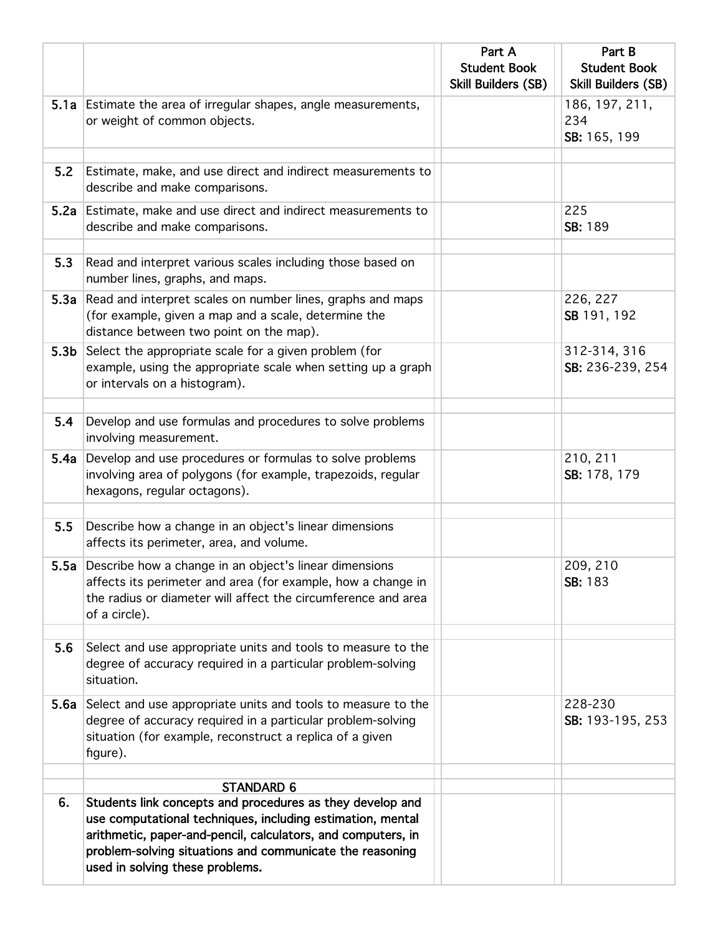|                  |                                                                                                                                                                                                                                                                                        | Part A<br><b>Student Book</b><br>Skill Builders (SB) | Part B<br><b>Student Book</b><br><b>Skill Builders (SB)</b> |
|------------------|----------------------------------------------------------------------------------------------------------------------------------------------------------------------------------------------------------------------------------------------------------------------------------------|------------------------------------------------------|-------------------------------------------------------------|
|                  | 5.1a Estimate the area of irregular shapes, angle measurements,<br>or weight of common objects.                                                                                                                                                                                        |                                                      | 186, 197, 211,<br>234<br>SB: 165, 199                       |
| 5.2              | Estimate, make, and use direct and indirect measurements to<br>describe and make comparisons.                                                                                                                                                                                          |                                                      |                                                             |
|                  | 5.2a Estimate, make and use direct and indirect measurements to<br>describe and make comparisons.                                                                                                                                                                                      |                                                      | 225<br>SB: 189                                              |
| 5.3              | Read and interpret various scales including those based on<br>number lines, graphs, and maps.                                                                                                                                                                                          |                                                      |                                                             |
|                  | 5.3a Read and interpret scales on number lines, graphs and maps<br>(for example, given a map and a scale, determine the<br>distance between two point on the map).                                                                                                                     |                                                      | 226, 227<br>SB 191, 192                                     |
| 5.3 <sub>b</sub> | Select the appropriate scale for a given problem (for<br>example, using the appropriate scale when setting up a graph<br>or intervals on a histogram).                                                                                                                                 |                                                      | 312-314, 316<br>SB: 236-239, 254                            |
| 5.4              | Develop and use formulas and procedures to solve problems<br>involving measurement.                                                                                                                                                                                                    |                                                      |                                                             |
| 5.4a             | Develop and use procedures or formulas to solve problems<br>involving area of polygons (for example, trapezoids, regular<br>hexagons, regular octagons).                                                                                                                               |                                                      | 210, 211<br>SB: 178, 179                                    |
| 5.5              | Describe how a change in an object's linear dimensions<br>affects its perimeter, area, and volume.                                                                                                                                                                                     |                                                      |                                                             |
|                  | 5.5a Describe how a change in an object's linear dimensions<br>affects its perimeter and area (for example, how a change in<br>the radius or diameter will affect the circumference and area<br>of a circle).                                                                          |                                                      | 209, 210<br>SB: 183                                         |
| 5.6              | Select and use appropriate units and tools to measure to the<br>degree of accuracy required in a particular problem-solving<br>situation.                                                                                                                                              |                                                      |                                                             |
|                  | 5.6a Select and use appropriate units and tools to measure to the<br>degree of accuracy required in a particular problem-solving<br>situation (for example, reconstruct a replica of a given<br>figure).                                                                               |                                                      | 228-230<br>SB: 193-195, 253                                 |
|                  | <b>STANDARD 6</b>                                                                                                                                                                                                                                                                      |                                                      |                                                             |
| 6.               | Students link concepts and procedures as they develop and<br>use computational techniques, including estimation, mental<br>arithmetic, paper-and-pencil, calculators, and computers, in<br>problem-solving situations and communicate the reasoning<br>used in solving these problems. |                                                      |                                                             |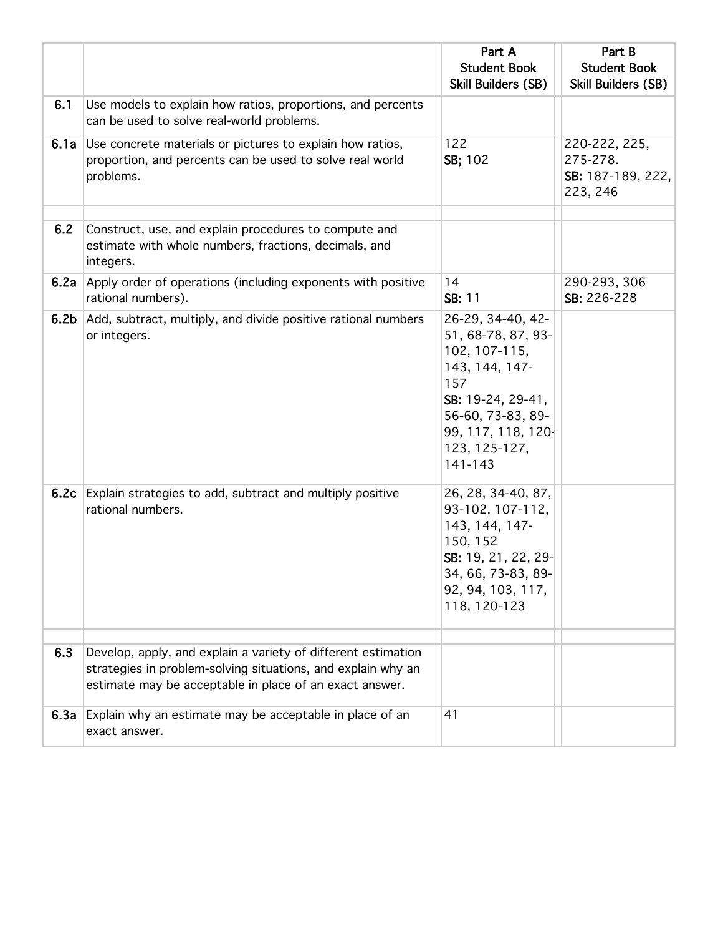|                  |                                                                                                                                         | Part A<br><b>Student Book</b><br>Skill Builders (SB)                                                                                                                          | Part B<br><b>Student Book</b><br><b>Skill Builders (SB)</b> |
|------------------|-----------------------------------------------------------------------------------------------------------------------------------------|-------------------------------------------------------------------------------------------------------------------------------------------------------------------------------|-------------------------------------------------------------|
| 6.1              | Use models to explain how ratios, proportions, and percents<br>can be used to solve real-world problems.                                |                                                                                                                                                                               |                                                             |
|                  | 6.1a Use concrete materials or pictures to explain how ratios,<br>proportion, and percents can be used to solve real world<br>problems. | 122<br>SB; 102                                                                                                                                                                | 220-222, 225,<br>275-278.<br>SB: 187-189, 222,<br>223, 246  |
| 6.2              | Construct, use, and explain procedures to compute and<br>estimate with whole numbers, fractions, decimals, and<br>integers.             |                                                                                                                                                                               |                                                             |
|                  | <b>6.2a</b> Apply order of operations (including exponents with positive<br>rational numbers).                                          | 14<br>SB: 11                                                                                                                                                                  | 290-293, 306<br>SB: 226-228                                 |
| 6.2 <sub>b</sub> | Add, subtract, multiply, and divide positive rational numbers<br>or integers.                                                           | 26-29, 34-40, 42-<br>51, 68-78, 87, 93-<br>102, 107-115,<br>143, 144, 147-<br>157<br>SB: 19-24, 29-41,<br>56-60, 73-83, 89-<br>99, 117, 118, 120-<br>123, 125-127,<br>141-143 |                                                             |
| 6.2c             | Explain strategies to add, subtract and multiply positive<br>rational numbers.                                                          | 26, 28, 34-40, 87,<br>93-102, 107-112,<br>143, 144, 147-<br>150, 152<br>SB: 19, 21, 22, 29-<br>34, 66, 73-83, 89-<br>92, 94, 103, 117,<br>118, 120-123                        |                                                             |
| 6.3              | Develop, apply, and explain a variety of different estimation<br>strategies in problem-solving situations, and explain why an           |                                                                                                                                                                               |                                                             |
|                  | estimate may be acceptable in place of an exact answer.                                                                                 |                                                                                                                                                                               |                                                             |
| 6.3a             | Explain why an estimate may be acceptable in place of an<br>exact answer.                                                               | 41                                                                                                                                                                            |                                                             |